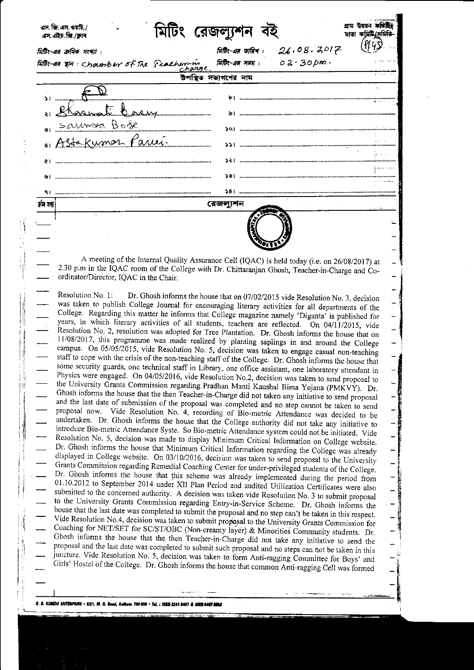| এস. জি. এস. ওয়াই./<br>এস.এইচ.জি./ক্লাব | মিটিং রেজল্যুশন                                                    | মাতা কমিটি/স |
|-----------------------------------------|--------------------------------------------------------------------|--------------|
| মিটিং-এর ক্রমিক সংখ্যা :                | 26.08.2017<br>মিটিং-এর তারিখ :                                     |              |
| Falls. as an chamber of the Peacher-in  | मिहित- अब ममय: $02.30 \text{ nm}$                                  |              |
|                                         | উপস্থিত সভ্যগণের নাম                                               |              |
|                                         |                                                                    |              |
| ti Casy                                 |                                                                    |              |
| Saumra Bose                             | $ 0\rangle$ monomulation communication communication communication |              |
| 81 Astakumor Parui                      |                                                                    |              |
| άI                                      | 52   ………………………………………………………………………………………                             |              |
|                                         | ১৩।                                                                |              |
|                                         |                                                                    |              |
| ক্ৰম মৰা                                | রেজল্যশন                                                           |              |
|                                         |                                                                    |              |

A meeting of the Internal Quality Assurance Cell (IQAC) is held today (i.e. on 26/08/2017) at 2.30 p.m in the IQAC room of the College with Dr. Chittaranjan Ghosh, Teacher-in-Charge and Coordinator/Director, IQAC in the Chair.

Resolution No. 1: Dr. Ghosh informs the house that on 07/02/2015 vide Resolution No. 3, decision was taken to publish College Journal for encouraging literary activities for all departments of the College. Regarding this matter he informs that College magazine namely 'Diganta' is published for years, in which literary activities of all students, teachers are reflected. On 04/11/2015, vide Resolution No. 2, resolution was adopted for Tree Plantation. Dr. Ghosh informs the house that on 11/08/2017, this programme was made realized by planting saplings in and around the College campus. On 05/05/2015, vide Resolution No. 5, decision was taken to engage casual non-teaching staff to cope with the crisis of the non-teaching staff of the College. Dr. Ghosh informs the house that some security guards, one technical staff in Library, one office assistant, one laboratory attendant in Physics were engaged. On 04/05/2016, vide Resolution No.2, decision was taken to send proposal to the University Grants Commission regarding Pradhan Manti Kaushal Bima Yojana (PMKVY). Dr. Ghosh informs the house that the then Teacher-in-Charge did not taken any initiative to send proposal and the last date of submission of the proposal was completed and no step cannot be taken to send proposal now. Vide Resolution No. 4, recording of Bio-metric Attendance was decided to be undertaken. Dr. Ghosh informs the house that the College authority did not take any initiative to introduce Bio-metric Attendance Syste. So Bio-metric Attendance system could not be initiated. Vide Resolution No. 5, decision was made to display Minimum Critical Information on College website. Dr. Ghosh informs the house that Minimum Critical Information regarding the College was already displayed in College website. On 03/10/2016, decision was taken to send proposal to the University Grants Commission regarding Remedial Coaching Center for under-privileged students of the College. Dr. Ghosh informs the house that this scheme was already implemented during the period from 01.10.2012 to September 2014 under XII Plan Period and audited Utilization Certificates were also submitted to the concerned authority. A decision was taken vide Resolution No. 3 to submit proposal to the University Grants Commission regarding Entry-in-Service Scheme. Dr. Ghosh informs the house that the last date was completed to submit the proposal and no step can't be taken in this respect. Vide Resolution No.4, decision was taken to submit proposal to the University Grants Commission for Coaching for NET/SET for SC/ST/OBC (Non-creamy layer) & Minorities Community students. Dr. Ghosh informs the house that the then Teacher-in-Charge did not take any initiative to send the proposal and the last date was completed to submit such proposal and no steps can not be taken in this juncture. Vide Resolution No. 5, decision was taken to form Anti-ragging Committee for Boys' and Girls' Hostel of the College. Dr. Ghosh informs the house that common Anti-ragging Cell was formed

Iť